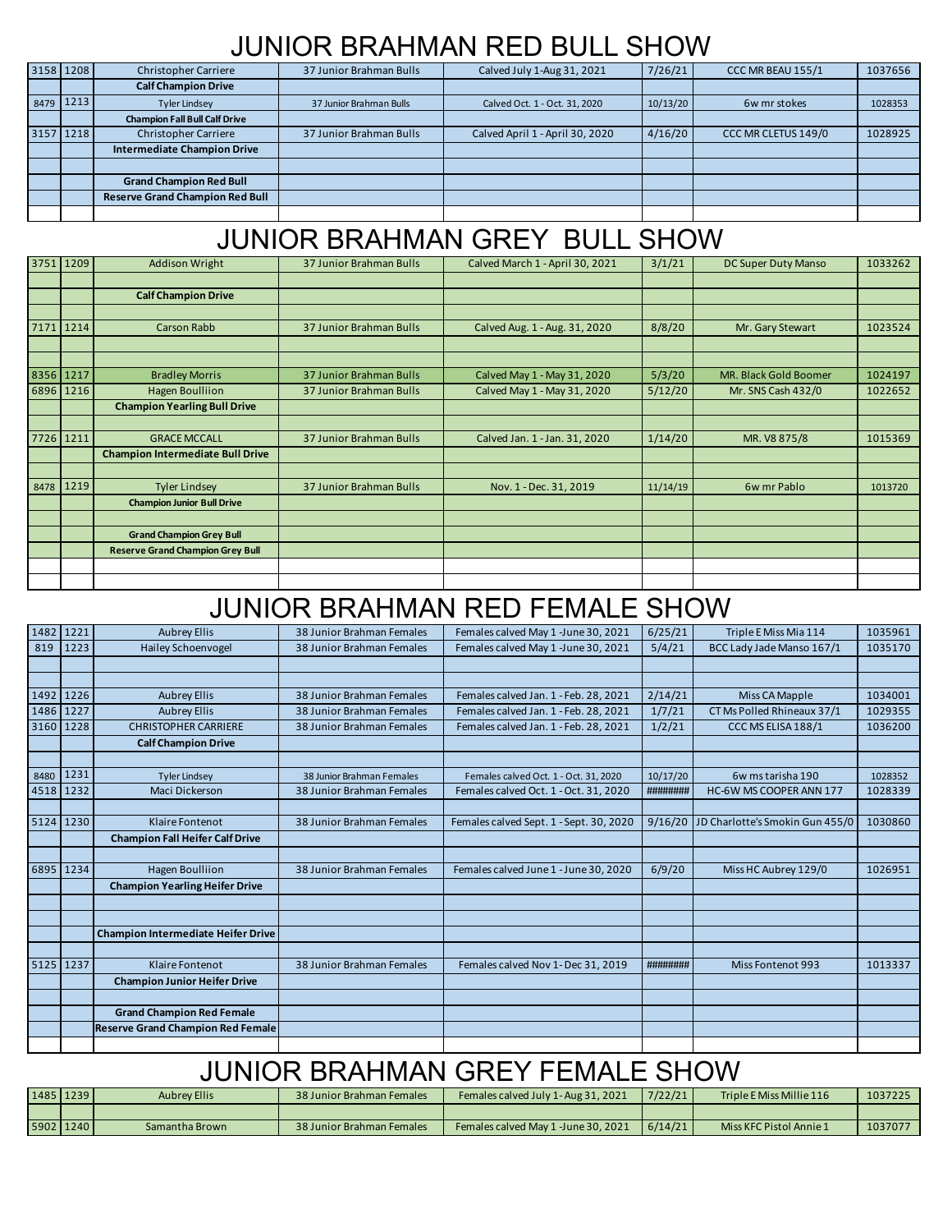### JUNIOR BRAHMAN RED BULL SHOW

| 3158 1208 | <b>Christopher Carriere</b>            | 37 Junior Brahman Bulls | Calved July 1-Aug 31, 2021      | 7/26/21  | CCC MR BEAU 155/1   | 1037656 |
|-----------|----------------------------------------|-------------------------|---------------------------------|----------|---------------------|---------|
|           | <b>Calf Champion Drive</b>             |                         |                                 |          |                     |         |
| 8479 1213 | <b>Tyler Lindsey</b>                   | 37 Junior Brahman Bulls | Calved Oct. 1 - Oct. 31, 2020   | 10/13/20 | 6w mr stokes        | 1028353 |
|           | <b>Champion Fall Bull Calf Drive</b>   |                         |                                 |          |                     |         |
| 3157 1218 | <b>Christopher Carriere</b>            | 37 Junior Brahman Bulls | Calved April 1 - April 30, 2020 | 4/16/20  | CCC MR CLETUS 149/0 | 1028925 |
|           | <b>Intermediate Champion Drive</b>     |                         |                                 |          |                     |         |
|           |                                        |                         |                                 |          |                     |         |
|           | <b>Grand Champion Red Bull</b>         |                         |                                 |          |                     |         |
|           | <b>Reserve Grand Champion Red Bull</b> |                         |                                 |          |                     |         |
|           |                                        |                         |                                 |          |                     |         |

# JUNIOR BRAHMAN GREY BULL SHOW

| 3751      | 1209      | <b>Addison Wright</b>                   | 37 Junior Brahman Bulls | Calved March 1 - April 30, 2021 | 3/1/21   | DC Super Duty Manso   | 1033262 |
|-----------|-----------|-----------------------------------------|-------------------------|---------------------------------|----------|-----------------------|---------|
|           |           |                                         |                         |                                 |          |                       |         |
|           |           | <b>Calf Champion Drive</b>              |                         |                                 |          |                       |         |
|           |           |                                         |                         |                                 |          |                       |         |
| 7171      | 1214      | Carson Rabb                             | 37 Junior Brahman Bulls | Calved Aug. 1 - Aug. 31, 2020   | 8/8/20   | Mr. Gary Stewart      | 1023524 |
|           |           |                                         |                         |                                 |          |                       |         |
|           |           |                                         |                         |                                 |          |                       |         |
| 8356 1217 |           | <b>Bradley Morris</b>                   | 37 Junior Brahman Bulls | Calved May 1 - May 31, 2020     | 5/3/20   | MR. Black Gold Boomer | 1024197 |
| 6896      | 1216      | <b>Hagen Boulliion</b>                  | 37 Junior Brahman Bulls | Calved May 1 - May 31, 2020     | 5/12/20  | Mr. SNS Cash 432/0    | 1022652 |
|           |           | <b>Champion Yearling Bull Drive</b>     |                         |                                 |          |                       |         |
|           |           |                                         |                         |                                 |          |                       |         |
|           | 7726 1211 | <b>GRACE MCCALL</b>                     | 37 Junior Brahman Bulls | Calved Jan. 1 - Jan. 31, 2020   | 1/14/20  | MR. V8 875/8          | 1015369 |
|           |           | <b>Champion Intermediate Bull Drive</b> |                         |                                 |          |                       |         |
|           |           |                                         |                         |                                 |          |                       |         |
| 8478      | 1219      | <b>Tyler Lindsey</b>                    | 37 Junior Brahman Bulls | Nov. 1 - Dec. 31, 2019          | 11/14/19 | 6w mr Pablo           | 1013720 |
|           |           | <b>Champion Junior Bull Drive</b>       |                         |                                 |          |                       |         |
|           |           |                                         |                         |                                 |          |                       |         |
|           |           | <b>Grand Champion Grey Bull</b>         |                         |                                 |          |                       |         |
|           |           | <b>Reserve Grand Champion Grey Bull</b> |                         |                                 |          |                       |         |
|           |           |                                         |                         |                                 |          |                       |         |
|           |           |                                         |                         |                                 |          |                       |         |

### JUNIOR BRAHMAN RED FEMALE SHOW

| 1482      | 1221      | <b>Aubrey Ellis</b>                       | 38 Junior Brahman Females | Females calved May 1 - June 30, 2021    | 6/25/21  | Triple E Miss Mia 114           | 1035961 |
|-----------|-----------|-------------------------------------------|---------------------------|-----------------------------------------|----------|---------------------------------|---------|
| 819       | 1223      | <b>Hailey Schoenvogel</b>                 | 38 Junior Brahman Females | Females calved May 1 - June 30, 2021    | 5/4/21   | BCC Lady Jade Manso 167/1       | 1035170 |
|           |           |                                           |                           |                                         |          |                                 |         |
|           |           |                                           |                           |                                         |          |                                 |         |
| 1492      | 1226      | <b>Aubrey Ellis</b>                       | 38 Junior Brahman Females | Females calved Jan. 1 - Feb. 28, 2021   | 2/14/21  | Miss CA Mapple                  | 1034001 |
| 1486      | 1227      | <b>Aubrey Ellis</b>                       | 38 Junior Brahman Females | Females calved Jan. 1 - Feb. 28, 2021   | 1/7/21   | CT Ms Polled Rhineaux 37/1      | 1029355 |
|           | 3160 1228 | <b>CHRISTOPHER CARRIERE</b>               | 38 Junior Brahman Females | Females calved Jan. 1 - Feb. 28, 2021   | 1/2/21   | CCC MS ELISA 188/1              | 1036200 |
|           |           | <b>Calf Champion Drive</b>                |                           |                                         |          |                                 |         |
|           |           |                                           |                           |                                         |          |                                 |         |
| 8480      | 1231      | <b>Tyler Lindsey</b>                      | 38 Junior Brahman Females | Females calved Oct. 1 - Oct. 31, 2020   | 10/17/20 | 6w ms tarisha 190               | 1028352 |
| 4518      | 1232      | Maci Dickerson                            | 38 Junior Brahman Females | Females calved Oct. 1 - Oct. 31, 2020   | ######## | HC-6W MS COOPER ANN 177         | 1028339 |
|           |           |                                           |                           |                                         |          |                                 |         |
|           | 5124 1230 | Klaire Fontenot                           | 38 Junior Brahman Females | Females calved Sept. 1 - Sept. 30, 2020 | 9/16/20  | JD Charlotte's Smokin Gun 455/0 | 1030860 |
|           |           | <b>Champion Fall Heifer Calf Drive</b>    |                           |                                         |          |                                 |         |
|           |           |                                           |                           |                                         |          |                                 |         |
|           | 6895 1234 | <b>Hagen Boulliion</b>                    | 38 Junior Brahman Females | Females calved June 1 - June 30, 2020   | 6/9/20   | Miss HC Aubrey 129/0            | 1026951 |
|           |           | <b>Champion Yearling Heifer Drive</b>     |                           |                                         |          |                                 |         |
|           |           |                                           |                           |                                         |          |                                 |         |
|           |           |                                           |                           |                                         |          |                                 |         |
|           |           | <b>Champion Intermediate Heifer Drive</b> |                           |                                         |          |                                 |         |
|           |           |                                           |                           |                                         |          |                                 |         |
| 5125 1237 |           | Klaire Fontenot                           | 38 Junior Brahman Females | Females calved Nov 1- Dec 31, 2019      | ######## | Miss Fontenot 993               | 1013337 |
|           |           | <b>Champion Junior Heifer Drive</b>       |                           |                                         |          |                                 |         |
|           |           |                                           |                           |                                         |          |                                 |         |
|           |           | <b>Grand Champion Red Female</b>          |                           |                                         |          |                                 |         |
|           |           | <b>Reserve Grand Champion Red Female</b>  |                           |                                         |          |                                 |         |
|           |           |                                           |                           |                                         |          |                                 |         |

#### JUNIOR BRAHMAN GREY FEMALE SHOW

| 1485 1239 | Aubrev Ellis   | 38 Junior Brahman Females | Females calved July 1-Aug 31, 2021 | 7/22/21 | Triple E Miss Millie 116 | 1037225 |
|-----------|----------------|---------------------------|------------------------------------|---------|--------------------------|---------|
|           |                |                           |                                    |         |                          |         |
| 5902 1240 | Samantha Brown | 38 Junior Brahman Females | Females calved May 1-June 30, 2021 | 6/14/21 | Miss KFC Pistol Annie 1  | 1037077 |